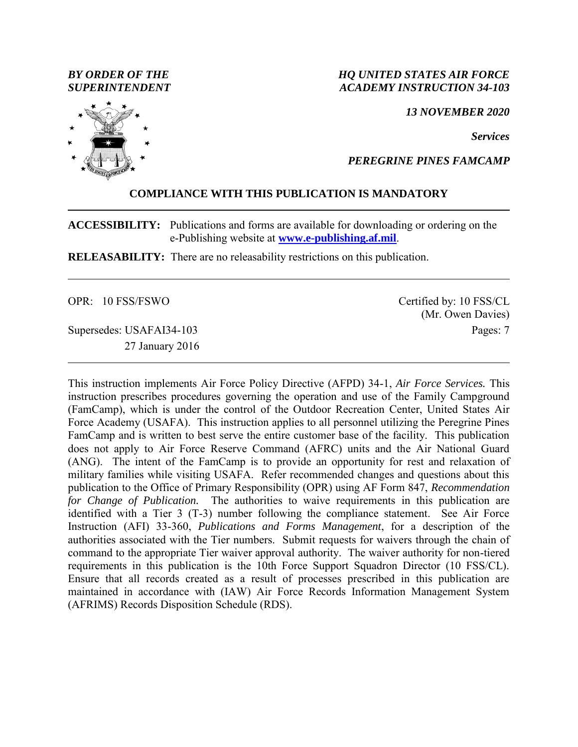*BY ORDER OF THE SUPERINTENDENT*

### *HQ UNITED STATES AIR FORCE ACADEMY INSTRUCTION 34-103*

*13 NOVEMBER 2020*

*Services*

*PEREGRINE PINES FAMCAMP*

### **COMPLIANCE WITH THIS PUBLICATION IS MANDATORY**

**ACCESSIBILITY:** Publications and forms are available for downloading or ordering on the e-Publishing website at **[www.e-publishing.af.mil](http://www.e-publishing.af.mil/)**.

**RELEASABILITY:** There are no releasability restrictions on this publication.

OPR: 10 FSS/FSWO

Supersedes: USAFAI34-103 27 January 2016 Certified by: 10 FSS/CL (Mr. Owen Davies) Pages: 7

This instruction implements Air Force Policy Directive (AFPD) 34-1, *Air Force Services.* This instruction prescribes procedures governing the operation and use of the Family Campground (FamCamp), which is under the control of the Outdoor Recreation Center, United States Air Force Academy (USAFA). This instruction applies to all personnel utilizing the Peregrine Pines FamCamp and is written to best serve the entire customer base of the facility. This publication does not apply to Air Force Reserve Command (AFRC) units and the Air National Guard (ANG). The intent of the FamCamp is to provide an opportunity for rest and relaxation of military families while visiting USAFA. Refer recommended changes and questions about this publication to the Office of Primary Responsibility (OPR) using AF Form 847, *Recommendation for Change of Publication.* The authorities to waive requirements in this publication are identified with a Tier 3 (T-3) number following the compliance statement. See Air Force Instruction (AFI) 33-360, *Publications and Forms Management*, for a description of the authorities associated with the Tier numbers. Submit requests for waivers through the chain of command to the appropriate Tier waiver approval authority. The waiver authority for non-tiered requirements in this publication is the 10th Force Support Squadron Director (10 FSS/CL). Ensure that all records created as a result of processes prescribed in this publication are maintained in accordance with (IAW) Air Force Records Information Management System (AFRIMS) Records Disposition Schedule (RDS).

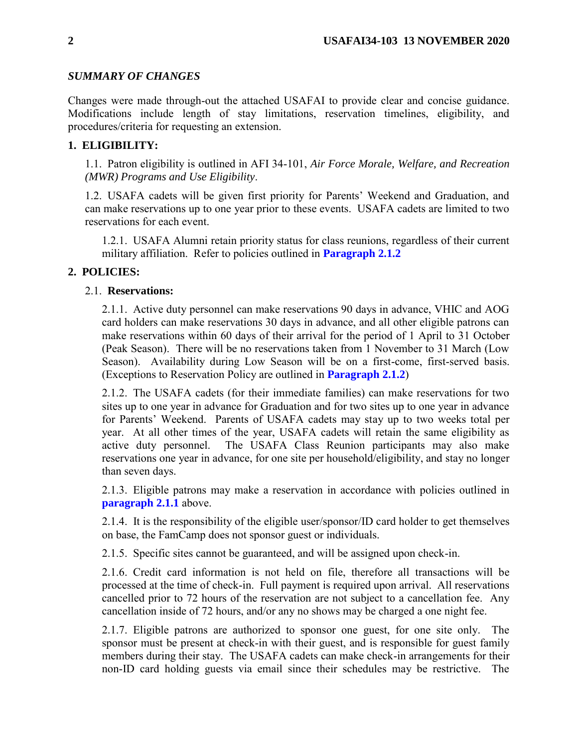# *SUMMARY OF CHANGES*

Changes were made through-out the attached USAFAI to provide clear and concise guidance. Modifications include length of stay limitations, reservation timelines, eligibility, and procedures/criteria for requesting an extension.

# **1. ELIGIBILITY:**

1.1. Patron eligibility is outlined in AFI 34-101, *Air Force Morale, Welfare, and Recreation (MWR) Programs and Use Eligibility*.

1.2. USAFA cadets will be given first priority for Parents' Weekend and Graduation, and can make reservations up to one year prior to these events. USAFA cadets are limited to two reservations for each event.

1.2.1. USAFA Alumni retain priority status for class reunions, regardless of their current military affiliation. Refer to policies outlined in **[Paragraph](#page-1-0) 2.1.2**

# **2. POLICIES:**

## <span id="page-1-1"></span>2.1. **Reservations:**

2.1.1. Active duty personnel can make reservations 90 days in advance, VHIC and AOG card holders can make reservations 30 days in advance, and all other eligible patrons can make reservations within 60 days of their arrival for the period of 1 April to 31 October (Peak Season). There will be no reservations taken from 1 November to 31 March (Low Season). Availability during Low Season will be on a first-come, first-served basis. (Exceptions to Reservation Policy are outlined in **[Paragraph](#page-1-0) 2.1.2**)

<span id="page-1-0"></span>2.1.2. The USAFA cadets (for their immediate families) can make reservations for two sites up to one year in advance for Graduation and for two sites up to one year in advance for Parents' Weekend. Parents of USAFA cadets may stay up to two weeks total per year. At all other times of the year, USAFA cadets will retain the same eligibility as active duty personnel. The USAFA Class Reunion participants may also make reservations one year in advance, for one site per household/eligibility, and stay no longer than seven days.

2.1.3. Eligible patrons may make a reservation in accordance with policies outlined in **[paragraph](#page-1-1) 2.1.1** above.

2.1.4. It is the responsibility of the eligible user/sponsor/ID card holder to get themselves on base, the FamCamp does not sponsor guest or individuals.

2.1.5. Specific sites cannot be guaranteed, and will be assigned upon check-in.

2.1.6. Credit card information is not held on file, therefore all transactions will be processed at the time of check-in. Full payment is required upon arrival. All reservations cancelled prior to 72 hours of the reservation are not subject to a cancellation fee. Any cancellation inside of 72 hours, and/or any no shows may be charged a one night fee.

2.1.7. Eligible patrons are authorized to sponsor one guest, for one site only. The sponsor must be present at check-in with their guest, and is responsible for guest family members during their stay. The USAFA cadets can make check-in arrangements for their non-ID card holding guests via email since their schedules may be restrictive. The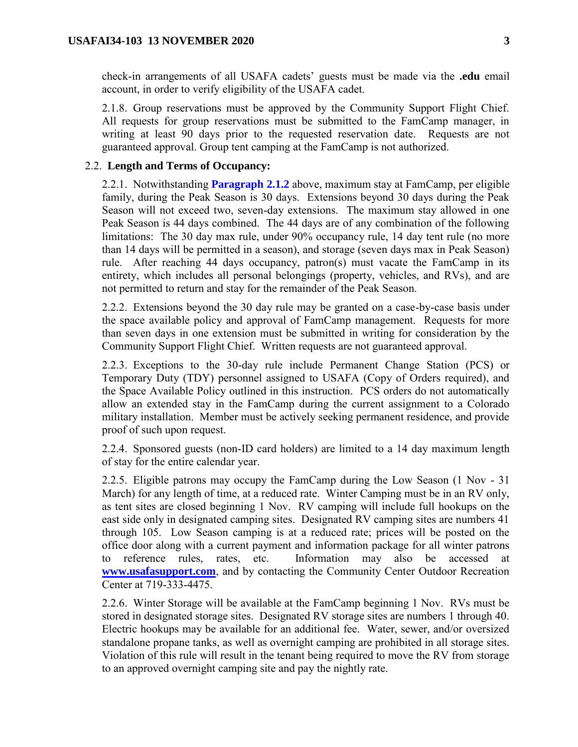check-in arrangements of all USAFA cadets' guests must be made via the **.edu** email account, in order to verify eligibility of the USAFA cadet.

2.1.8. Group reservations must be approved by the Community Support Flight Chief. All requests for group reservations must be submitted to the FamCamp manager, in writing at least 90 days prior to the requested reservation date. Requests are not guaranteed approval. Group tent camping at the FamCamp is not authorized.

#### <span id="page-2-0"></span>2.2. **Length and Terms of Occupancy:**

2.2.1. Notwithstanding **[Paragraph](#page-1-0) 2.1.2** above, maximum stay at FamCamp, per eligible family, during the Peak Season is 30 days. Extensions beyond 30 days during the Peak Season will not exceed two, seven-day extensions. The maximum stay allowed in one Peak Season is 44 days combined. The 44 days are of any combination of the following limitations: The 30 day max rule, under 90% occupancy rule, 14 day tent rule (no more than 14 days will be permitted in a season), and storage (seven days max in Peak Season) rule. After reaching 44 days occupancy, patron(s) must vacate the FamCamp in its entirety, which includes all personal belongings (property, vehicles, and RVs), and are not permitted to return and stay for the remainder of the Peak Season.

2.2.2. Extensions beyond the 30 day rule may be granted on a case-by-case basis under the space available policy and approval of FamCamp management. Requests for more than seven days in one extension must be submitted in writing for consideration by the Community Support Flight Chief. Written requests are not guaranteed approval.

2.2.3. Exceptions to the 30-day rule include Permanent Change Station (PCS) or Temporary Duty (TDY) personnel assigned to USAFA (Copy of Orders required), and the Space Available Policy outlined in this instruction. PCS orders do not automatically allow an extended stay in the FamCamp during the current assignment to a Colorado military installation. Member must be actively seeking permanent residence, and provide proof of such upon request.

2.2.4. Sponsored guests (non-ID card holders) are limited to a 14 day maximum length of stay for the entire calendar year.

2.2.5. Eligible patrons may occupy the FamCamp during the Low Season (1 Nov - 31 March) for any length of time, at a reduced rate. Winter Camping must be in an RV only, as tent sites are closed beginning 1 Nov. RV camping will include full hookups on the east side only in designated camping sites. Designated RV camping sites are numbers 41 through 105. Low Season camping is at a reduced rate; prices will be posted on the office door along with a current payment and information package for all winter patrons to reference rules, rates, etc. Information may also be accessed at **[www.usafasupport.com](http://www.usafasupport.com/)**, and by contacting the Community Center Outdoor Recreation Center at 719-333-4475.

2.2.6. Winter Storage will be available at the FamCamp beginning 1 Nov. RVs must be stored in designated storage sites. Designated RV storage sites are numbers 1 through 40. Electric hookups may be available for an additional fee. Water, sewer, and/or oversized standalone propane tanks, as well as overnight camping are prohibited in all storage sites. Violation of this rule will result in the tenant being required to move the RV from storage to an approved overnight camping site and pay the nightly rate.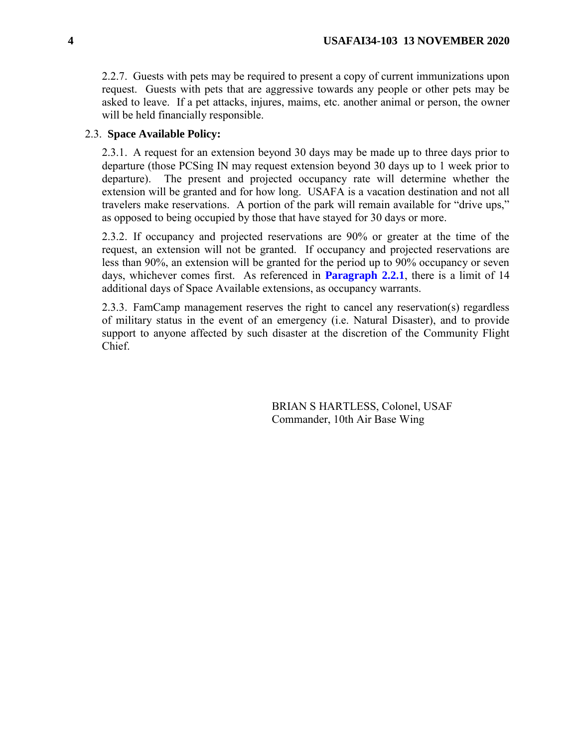2.2.7. Guests with pets may be required to present a copy of current immunizations upon request. Guests with pets that are aggressive towards any people or other pets may be asked to leave. If a pet attacks, injures, maims, etc. another animal or person, the owner will be held financially responsible.

## 2.3. **Space Available Policy:**

2.3.1. A request for an extension beyond 30 days may be made up to three days prior to departure (those PCSing IN may request extension beyond 30 days up to 1 week prior to departure). The present and projected occupancy rate will determine whether the extension will be granted and for how long. USAFA is a vacation destination and not all travelers make reservations. A portion of the park will remain available for "drive ups," as opposed to being occupied by those that have stayed for 30 days or more.

2.3.2. If occupancy and projected reservations are 90% or greater at the time of the request, an extension will not be granted. If occupancy and projected reservations are less than 90%, an extension will be granted for the period up to 90% occupancy or seven days, whichever comes first. As referenced in **[Paragraph](#page-2-0) 2.2.1**, there is a limit of 14 additional days of Space Available extensions, as occupancy warrants.

2.3.3. FamCamp management reserves the right to cancel any reservation(s) regardless of military status in the event of an emergency (i.e. Natural Disaster), and to provide support to anyone affected by such disaster at the discretion of the Community Flight Chief.

> BRIAN S HARTLESS, Colonel, USAF Commander, 10th Air Base Wing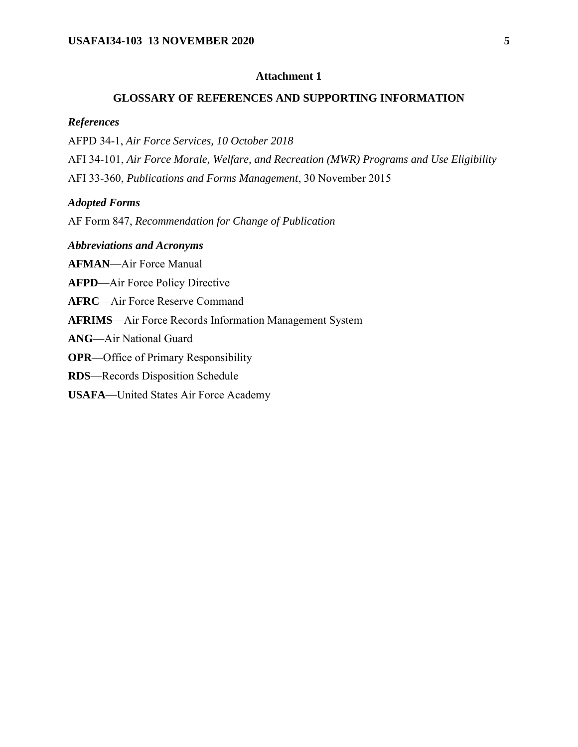## **Attachment 1**

#### **GLOSSARY OF REFERENCES AND SUPPORTING INFORMATION**

#### *References*

AFPD 34-1, *Air Force Services, 10 October 2018* AFI 34-101, *Air Force Morale, Welfare, and Recreation (MWR) Programs and Use Eligibility*

AFI 33-360, *Publications and Forms Management*, 30 November 2015

#### *Adopted Forms*

AF Form 847, *Recommendation for Change of Publication*

#### *Abbreviations and Acronyms*

**AFMAN**—Air Force Manual

**AFPD**—Air Force Policy Directive

**AFRC**—Air Force Reserve Command

**AFRIMS**—Air Force Records Information Management System

**ANG**—Air National Guard

**OPR**—Office of Primary Responsibility

**RDS**—Records Disposition Schedule

### **USAFA**—United States Air Force Academy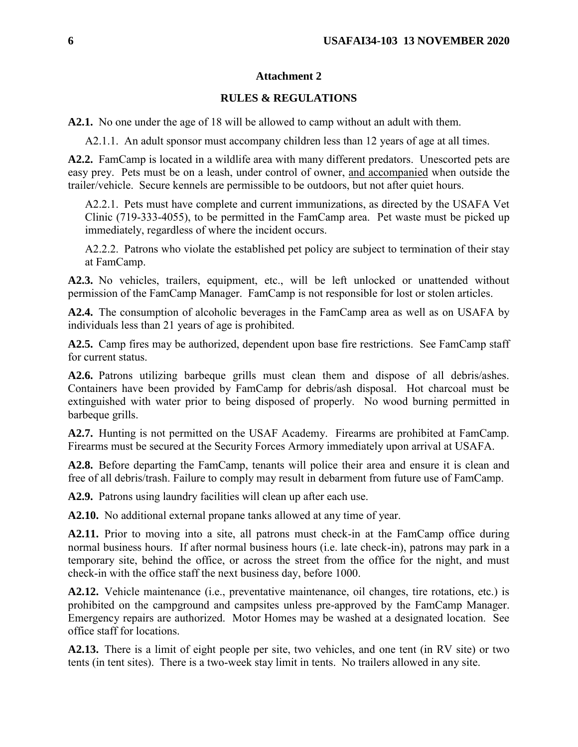## **Attachment 2**

### **RULES & REGULATIONS**

**A2.1.** No one under the age of 18 will be allowed to camp without an adult with them.

A2.1.1. An adult sponsor must accompany children less than 12 years of age at all times.

**A2.2.** FamCamp is located in a wildlife area with many different predators. Unescorted pets are easy prey. Pets must be on a leash, under control of owner, and accompanied when outside the trailer/vehicle. Secure kennels are permissible to be outdoors, but not after quiet hours.

A2.2.1. Pets must have complete and current immunizations, as directed by the USAFA Vet Clinic (719-333-4055), to be permitted in the FamCamp area. Pet waste must be picked up immediately, regardless of where the incident occurs.

A2.2.2. Patrons who violate the established pet policy are subject to termination of their stay at FamCamp.

**A2.3.** No vehicles, trailers, equipment, etc., will be left unlocked or unattended without permission of the FamCamp Manager. FamCamp is not responsible for lost or stolen articles.

**A2.4.** The consumption of alcoholic beverages in the FamCamp area as well as on USAFA by individuals less than 21 years of age is prohibited.

**A2.5.** Camp fires may be authorized, dependent upon base fire restrictions. See FamCamp staff for current status.

**A2.6.** Patrons utilizing barbeque grills must clean them and dispose of all debris/ashes. Containers have been provided by FamCamp for debris/ash disposal. Hot charcoal must be extinguished with water prior to being disposed of properly. No wood burning permitted in barbeque grills.

**A2.7.** Hunting is not permitted on the USAF Academy. Firearms are prohibited at FamCamp. Firearms must be secured at the Security Forces Armory immediately upon arrival at USAFA.

**A2.8.** Before departing the FamCamp, tenants will police their area and ensure it is clean and free of all debris/trash. Failure to comply may result in debarment from future use of FamCamp.

**A2.9.** Patrons using laundry facilities will clean up after each use.

**A2.10.** No additional external propane tanks allowed at any time of year.

**A2.11.** Prior to moving into a site, all patrons must check-in at the FamCamp office during normal business hours. If after normal business hours (i.e. late check-in), patrons may park in a temporary site, behind the office, or across the street from the office for the night, and must check-in with the office staff the next business day, before 1000.

**A2.12.** Vehicle maintenance (i.e., preventative maintenance, oil changes, tire rotations, etc.) is prohibited on the campground and campsites unless pre-approved by the FamCamp Manager. Emergency repairs are authorized. Motor Homes may be washed at a designated location. See office staff for locations.

**A2.13.** There is a limit of eight people per site, two vehicles, and one tent (in RV site) or two tents (in tent sites). There is a two-week stay limit in tents. No trailers allowed in any site.